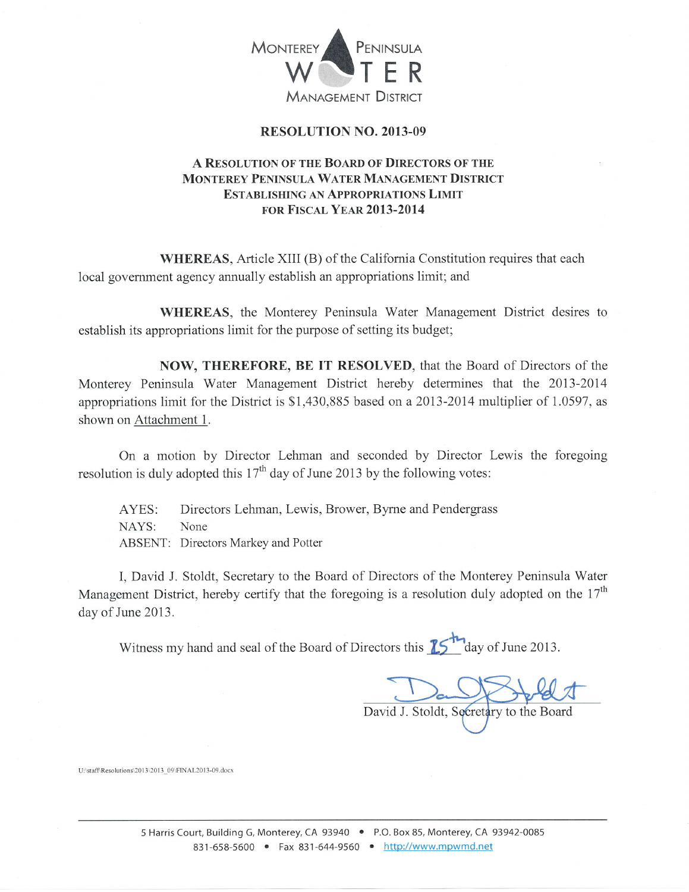

### RESOLUTION NO. 2OI3-09

# A RESOLUTION OF THE BOARD OF DIRECTORS OF THE MONTEREY PENINSULA WATER MANAGEMENT DISTRICT ESTABLISHING AN APPROPRIATIONS LIMIT FOR FISCAL YEAR 2013-2014

WHEREAS, Article XIII (B) of the California Constitution requires that each local govemment agency annually establish an appropriations limit; and

WHEREAS, the Monterey Peninsula Water Management District desires to establish its appropriations limit for the purpose of setting its budget;

NOW, THEREFORE, BE IT RESOLVED, that the Board of Directors of the Monterey Peninsula Water Management District hereby determines that the 2013-2014 appropriations limit for the District is \$1,430,885 based on a 2013-2014 multiplier of I.0597, as shown on Attachment 1.

On a motion by Director Lehman and seconded by Director Lewis the foregoing resolution is duly adopted this  $17<sup>th</sup>$  day of June 2013 by the following votes:

AYES: Directors Lehman, Lewis, Brower, Byrne and Pendergrass NAYS: None ABSENT: Directors Markey and Potter

I, David J. Stoldt, Secretary to the Board of Directors of the Monterey Peninsula Water Management District, hereby certify that the foregoing is a resolution duly adopted on the  $17<sup>th</sup>$ day of June 2013.

Witness my hand and seal of the Board of Directors this  $\sum_{n=1}^{\infty}$  day of June 2013.

David J. Stoldt, Secretary to the Board

U:\staff\Resolutions\2013\2013\_09\FINAL2013-09.docx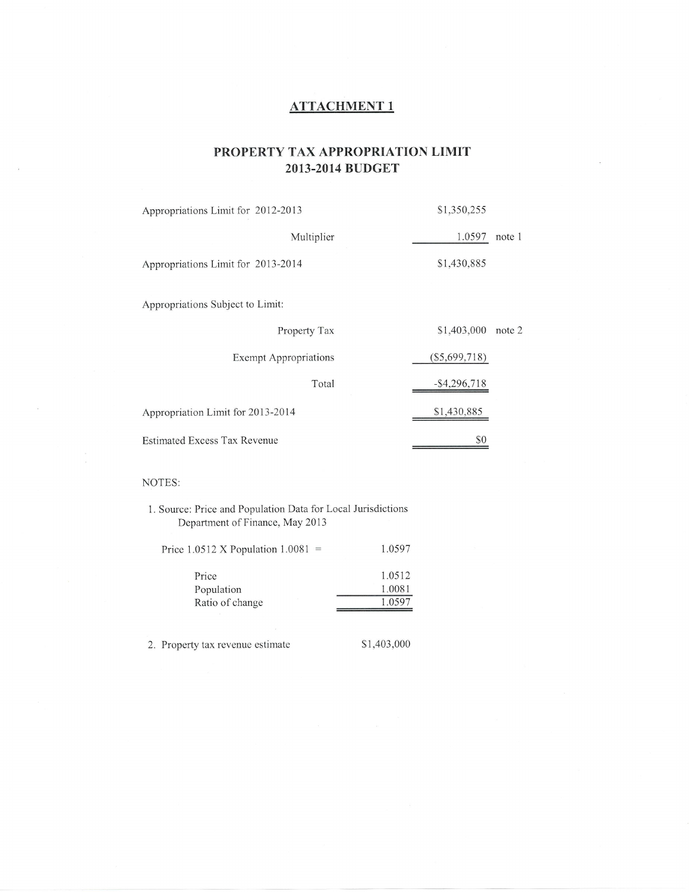## ATTACHMENT <sup>1</sup>

# PROPERTY TAX APPROPRIATION LIMIT 2OI3-20I4 BUDGET

| Appropriations Limit for 2012-2013  | \$1,350,255     |        |
|-------------------------------------|-----------------|--------|
| Multiplier                          | 1.0597          | note 1 |
| Appropriations Limit for 2013-2014  | \$1,430,885     |        |
| Appropriations Subject to Limit:    |                 |        |
| Property Tax                        | \$1,403,000     | note 2 |
| <b>Exempt Appropriations</b>        | $(\$5,699,718)$ |        |
| Total                               | $-$ \$4,296,718 |        |
| Appropriation Limit for 2013-2014   | \$1,430,885     |        |
| <b>Estimated Excess Tax Revenue</b> | \$0             |        |

#### NOTES:

1. Source: Price and Population Data for Local Jurisdictions Department of Finance, May 2013

| Price 1.0512 X Population $1.0081$ = | 1.0597 |
|--------------------------------------|--------|
| Price                                | 1.0512 |
| Population                           | 1.0081 |
| Ratio of change                      | 1.0597 |
|                                      |        |

2. Property tax revenue estimate \$1,403,000